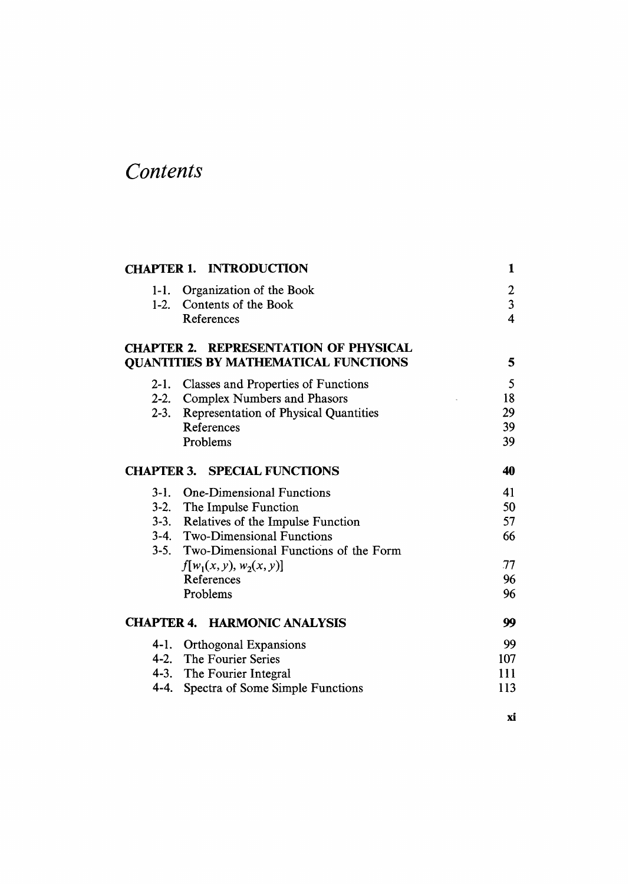## Contents

|         | <b>CHAPTER 1. INTRODUCTION</b>               | 1                       |
|---------|----------------------------------------------|-------------------------|
| $1-1$ . | Organization of the Book                     | 2                       |
| $1-2.$  | Contents of the Book                         | $\overline{\mathbf{3}}$ |
|         | References                                   | $\overline{\mathbf{4}}$ |
|         | <b>CHAPTER 2. REPRESENTATION OF PHYSICAL</b> |                         |
|         | <b>QUANTITIES BY MATHEMATICAL FUNCTIONS</b>  | 5                       |
| $2-1.$  | <b>Classes and Properties of Functions</b>   | 5                       |
|         | 2-2. Complex Numbers and Phasors             | 18                      |
|         | 2-3. Representation of Physical Quantities   | 29                      |
|         | References                                   | 39                      |
|         | Problems                                     | 39                      |
|         | <b>CHAPTER 3. SPECIAL FUNCTIONS</b>          | 40                      |
|         | 3-1. One-Dimensional Functions               | 41                      |
|         | 3-2. The Impulse Function                    | 50                      |
|         | 3-3. Relatives of the Impulse Function       | 57                      |
|         | 3-4. Two-Dimensional Functions               | 66                      |
|         | 3-5. Two-Dimensional Functions of the Form   |                         |
|         | $f[w_1(x, y), w_2(x, y)]$                    | 77                      |
|         | References                                   | 96                      |
|         | Problems                                     | 96                      |
|         | <b>CHAPTER 4. HARMONIC ANALYSIS</b>          | 99                      |
|         | 4-1. Orthogonal Expansions                   | 99                      |
|         | 4-2. The Fourier Series                      | 107                     |
|         | 4-3. The Fourier Integral                    | 111                     |
|         | 4-4. Spectra of Some Simple Functions        | 113                     |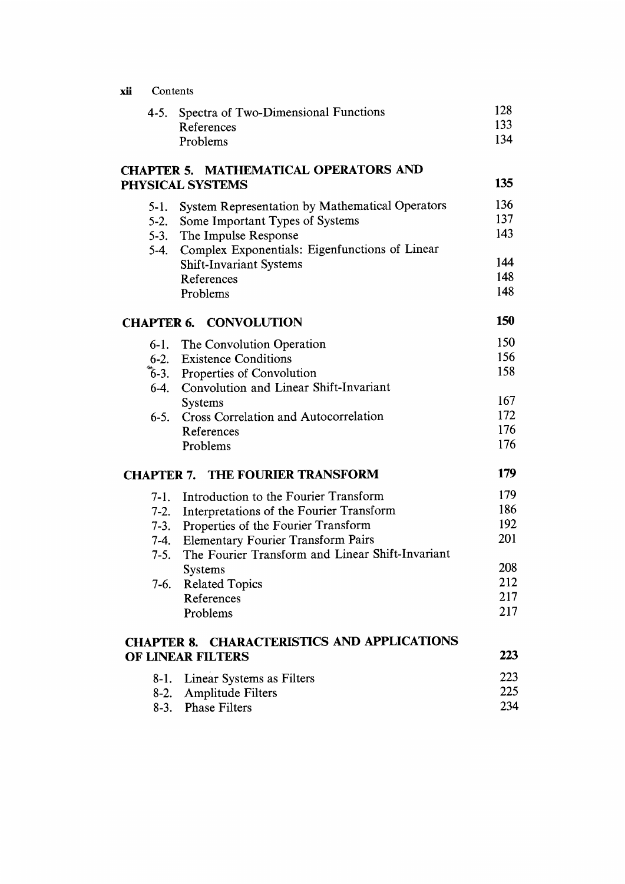| xii | Contents          |                                                              |            |
|-----|-------------------|--------------------------------------------------------------|------------|
|     | 4-5.              | Spectra of Two-Dimensional Functions<br>References           | 128<br>133 |
|     |                   | Problems                                                     | 134        |
|     | <b>CHAPTER 5.</b> | MATHEMATICAL OPERATORS AND                                   |            |
|     |                   | PHYSICAL SYSTEMS                                             | 135        |
|     | 5-1.              | System Representation by Mathematical Operators              | 136        |
|     | $5-2.$            | Some Important Types of Systems                              | 137        |
|     | $5 - 3.$          | The Impulse Response                                         | 143        |
|     | $5-4.$            | Complex Exponentials: Eigenfunctions of Linear               | 144        |
|     |                   | <b>Shift-Invariant Systems</b><br>References                 | 148        |
|     |                   | Problems                                                     | 148        |
|     | <b>CHAPTER 6.</b> | <b>CONVOLUTION</b>                                           | 150        |
|     | $6-1.$            | The Convolution Operation                                    | 150        |
|     | $6-2.$            | <b>Existence Conditions</b>                                  | 156        |
|     |                   | 6-3. Properties of Convolution                               | 158        |
|     |                   | 6-4. Convolution and Linear Shift-Invariant                  |            |
|     |                   | <b>Systems</b>                                               | 167        |
|     | $6-5.$            | Cross Correlation and Autocorrelation                        | 172<br>176 |
|     |                   | References<br>Problems                                       | 176        |
|     | <b>CHAPTER 7.</b> | <b>THE FOURIER TRANSFORM</b>                                 | 179        |
|     | 7-1.              | Introduction to the Fourier Transform                        | 179        |
|     | $7-2.$            | Interpretations of the Fourier Transform                     | 186        |
|     | $7-3.$            | Properties of the Fourier Transform                          | 192        |
|     | $7-4.$            | <b>Elementary Fourier Transform Pairs</b>                    | 201        |
|     | $7-5.$            | The Fourier Transform and Linear Shift-Invariant             |            |
|     |                   | Systems                                                      | 208<br>212 |
|     | $7-6.$            | <b>Related Topics</b><br>References                          | 217        |
|     |                   | Problems                                                     | 217        |
|     |                   | <b>CHARACTERISTICS AND APPLICATIONS</b><br><b>CHAPTER 8.</b> |            |
|     |                   | OF LINEAR FILTERS                                            | 223        |
|     | 8-1.              | Linear Systems as Filters                                    | 223        |
|     | 8-2.              | Amplitude Filters                                            | 225        |
|     | $8-3.$            | <b>Phase Filters</b>                                         | 234        |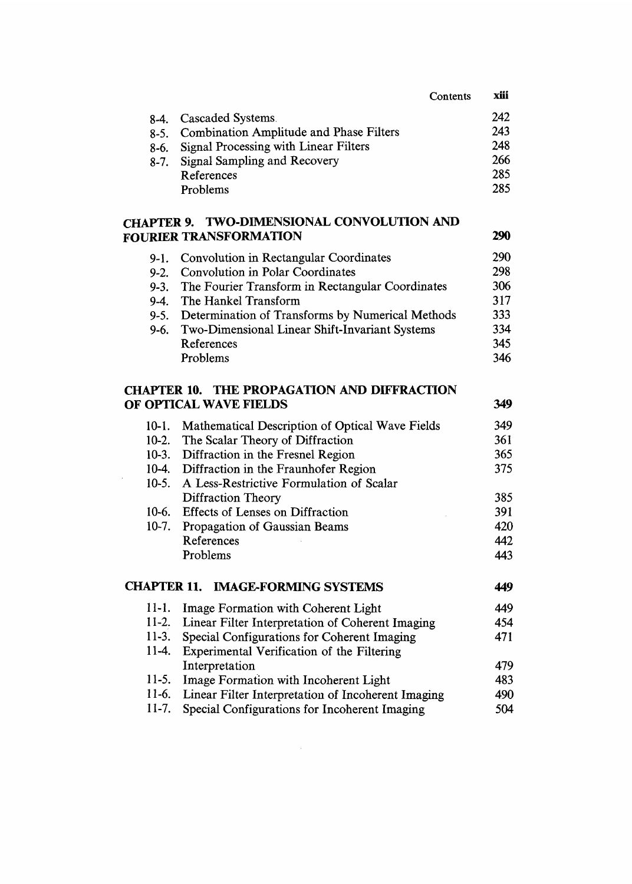|            |                                                | Contents | xiii |
|------------|------------------------------------------------|----------|------|
| $8-4.$     | Cascaded Systems.                              |          | 242  |
| $8-5.$     | <b>Combination Amplitude and Phase Filters</b> |          | 243  |
| 8-6.       | Signal Processing with Linear Filters          |          | 248  |
| $8-7.$     | Signal Sampling and Recovery                   |          | 266  |
|            | References                                     |          | 285  |
|            | Problems                                       |          | 285  |
|            |                                                |          |      |
| i a d'Tu d | TWA DIMENSIONAL CONVOLUTION AND                |          |      |

## CHAPTER 9. TWO-DIMENSIONAL CONVOLUTION AND FOURIER TRANSFORMATION 290

| 9-1. Convolution in Rectangular Coordinates           | 290 |
|-------------------------------------------------------|-----|
| 9-2. Convolution in Polar Coordinates                 | 298 |
| 9-3. The Fourier Transform in Rectangular Coordinates | 306 |
| 9-4. The Hankel Transform                             | 317 |
| 9-5. Determination of Transforms by Numerical Methods | 333 |
| 9-6. Two-Dimensional Linear Shift-Invariant Systems   | 334 |
| References                                            | 345 |
| Problems                                              | 346 |

## CHAPTER 10. THE PROPAGATION AND DIFFRACTION OF OPTICAL WAVE FIELDS 349

|            | 10-1. Mathematical Description of Optical Wave Fields | 349                           |
|------------|-------------------------------------------------------|-------------------------------|
|            | 10-2. The Scalar Theory of Diffraction                | 361                           |
|            | 10-3. Diffraction in the Fresnel Region               | 365                           |
|            | 10-4. Diffraction in the Fraunhofer Region            | 375                           |
| $10 - 5$ . | A Less-Restrictive Formulation of Scalar              |                               |
|            | Diffraction Theory                                    | 385                           |
| 10-6.      | Effects of Lenses on Diffraction                      | 391                           |
|            | 10-7. Propagation of Gaussian Beams                   | 420                           |
|            | References                                            | 442                           |
|            | Problems                                              | 443                           |
|            | <b>CHAPTER 11. IMAGE-FORMING SYSTEMS</b>              | 449                           |
|            | 11.1 . Luces Remember mith Calcered Lists             | $\lambda$ $\Lambda$ $\Lambda$ |

| $11-1.$ | Image Formation with Coherent Light                      | 449 |
|---------|----------------------------------------------------------|-----|
|         | 11-2. Linear Filter Interpretation of Coherent Imaging   | 454 |
| $11-3.$ | Special Configurations for Coherent Imaging              | 471 |
|         | 11-4. Experimental Verification of the Filtering         |     |
|         | Interpretation                                           | 479 |
|         | 11-5. Image Formation with Incoherent Light              | 483 |
|         | 11-6. Linear Filter Interpretation of Incoherent Imaging | 490 |
| $11-7.$ | Special Configurations for Incoherent Imaging            | 504 |

 $\mathcal{L}^{\text{max}}_{\text{max}}$  and  $\mathcal{L}^{\text{max}}_{\text{max}}$